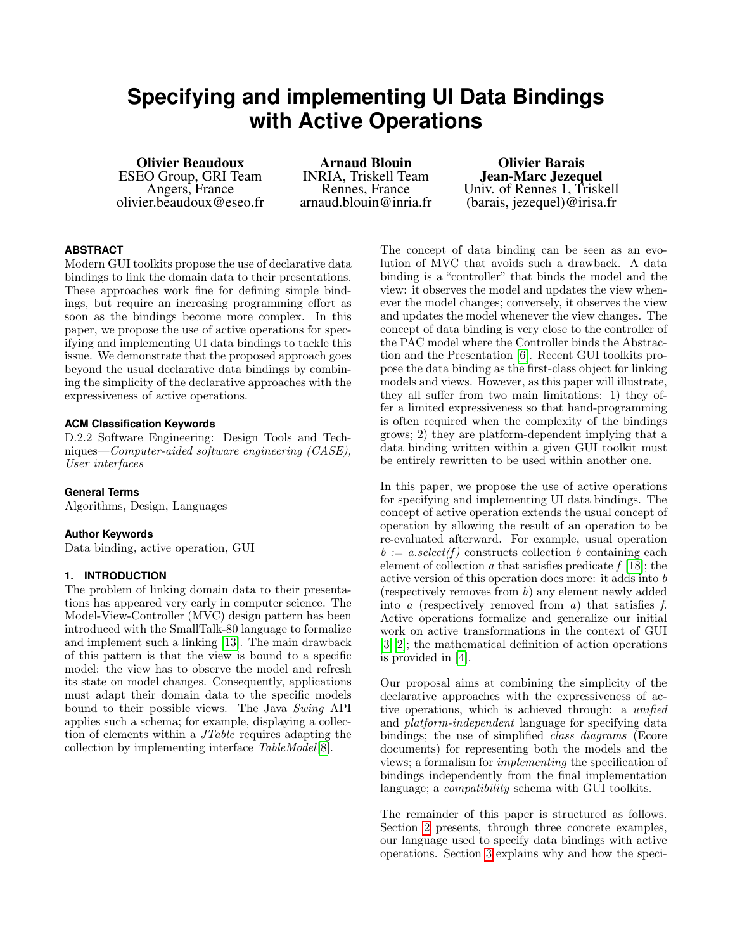# **Specifying and implementing UI Data Bindings with Active Operations**

Olivier Beaudoux ESEO Group, GRI Team Angers, France olivier.beaudoux@eseo.fr

Arnaud Blouin INRIA, Triskell Team Rennes, France arnaud.blouin@inria.fr

Olivier Barais Jean-Marc Jezequel Univ. of Rennes 1, Triskell (barais, jezequel)@irisa.fr

### **ABSTRACT**

Modern GUI toolkits propose the use of declarative data bindings to link the domain data to their presentations. These approaches work fine for defining simple bindings, but require an increasing programming effort as soon as the bindings become more complex. In this paper, we propose the use of active operations for specifying and implementing UI data bindings to tackle this issue. We demonstrate that the proposed approach goes beyond the usual declarative data bindings by combining the simplicity of the declarative approaches with the expressiveness of active operations.

### **ACM Classification Keywords**

D.2.2 Software Engineering: Design Tools and Techniques—Computer-aided software engineering (CASE), User interfaces

### **General Terms**

Algorithms, Design, Languages

### **Author Keywords**

Data binding, active operation, GUI

### **1. INTRODUCTION**

The problem of linking domain data to their presentations has appeared very early in computer science. The Model-View-Controller (MVC) design pattern has been introduced with the SmallTalk-80 language to formalize and implement such a linking [\[13\]](#page-9-0). The main drawback of this pattern is that the view is bound to a specific model: the view has to observe the model and refresh its state on model changes. Consequently, applications must adapt their domain data to the specific models bound to their possible views. The Java Swing API applies such a schema; for example, displaying a collection of elements within a JTable requires adapting the collection by implementing interface TableModel[\[8\]](#page-9-1).

The concept of data binding can be seen as an evolution of MVC that avoids such a drawback. A data binding is a "controller" that binds the model and the view: it observes the model and updates the view whenever the model changes; conversely, it observes the view and updates the model whenever the view changes. The concept of data binding is very close to the controller of the PAC model where the Controller binds the Abstraction and the Presentation [\[6\]](#page-9-2). Recent GUI toolkits propose the data binding as the first-class object for linking models and views. However, as this paper will illustrate, they all suffer from two main limitations: 1) they offer a limited expressiveness so that hand-programming is often required when the complexity of the bindings grows; 2) they are platform-dependent implying that a data binding written within a given GUI toolkit must be entirely rewritten to be used within another one.

In this paper, we propose the use of active operations for specifying and implementing UI data bindings. The concept of active operation extends the usual concept of operation by allowing the result of an operation to be re-evaluated afterward. For example, usual operation  $b := a.\text{select}(f)$  constructs collection b containing each element of collection  $\alpha$  that satisfies predicate  $f$  [\[18\]](#page-9-3); the active version of this operation does more: it adds into b (respectively removes from b) any element newly added into a (respectively removed from a) that satisfies f. Active operations formalize and generalize our initial work on active transformations in the context of GUI [\[3,](#page-9-4) [2\]](#page-9-5); the mathematical definition of action operations is provided in [\[4\]](#page-9-6).

Our proposal aims at combining the simplicity of the declarative approaches with the expressiveness of active operations, which is achieved through: a unified and platform-independent language for specifying data bindings; the use of simplified class diagrams (Ecore documents) for representing both the models and the views; a formalism for implementing the specification of bindings independently from the final implementation language; a *compatibility* schema with GUI toolkits.

The remainder of this paper is structured as follows. Section [2](#page-1-0) presents, through three concrete examples, our language used to specify data bindings with active operations. Section [3](#page-3-0) explains why and how the speci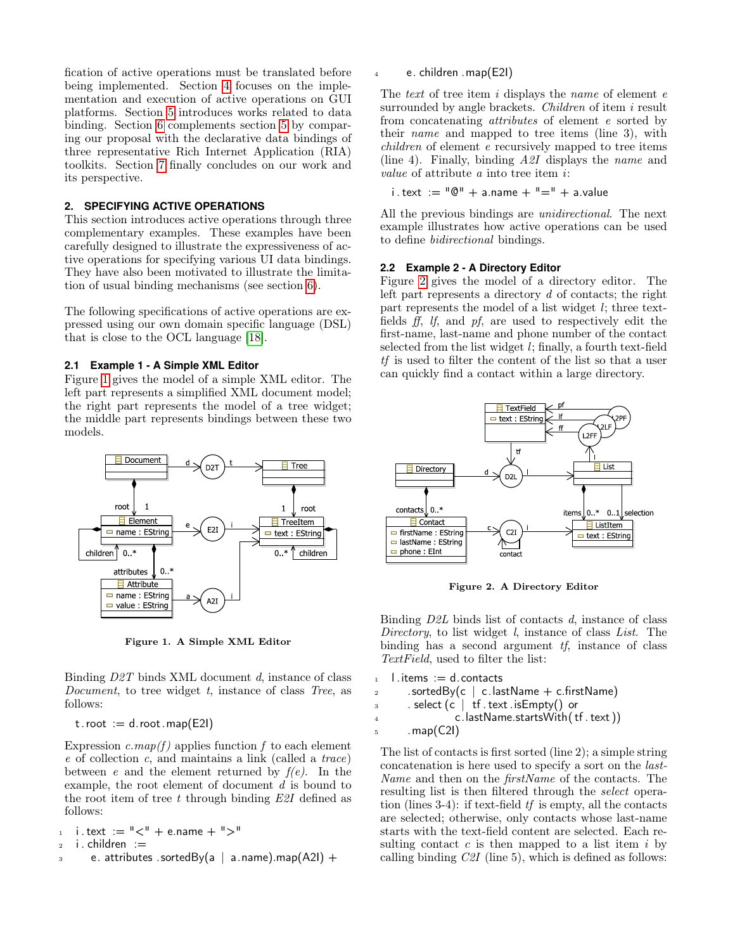fication of active operations must be translated before being implemented. Section [4](#page-4-0) focuses on the implementation and execution of active operations on GUI platforms. Section [5](#page-6-0) introduces works related to data binding. Section [6](#page-7-0) complements section [5](#page-6-0) by comparing our proposal with the declarative data bindings of three representative Rich Internet Application (RIA) toolkits. Section [7](#page-9-7) finally concludes on our work and its perspective.

### <span id="page-1-0"></span>**2. SPECIFYING ACTIVE OPERATIONS**

This section introduces active operations through three complementary examples. These examples have been carefully designed to illustrate the expressiveness of active operations for specifying various UI data bindings. They have also been motivated to illustrate the limitation of usual binding mechanisms (see section [6\)](#page-7-0).

The following specifications of active operations are expressed using our own domain specific language (DSL) that is close to the OCL language [\[18\]](#page-9-3).

### **2.1 Example 1 - A Simple XML Editor**

Figure [1](#page-1-1) gives the model of a simple XML editor. The left part represents a simplified XML document model; the right part represents the model of a tree widget; the middle part represents bindings between these two models.



<span id="page-1-1"></span>Figure 1. A Simple XML Editor

Binding D2T binds XML document d, instance of class Document, to tree widget t, instance of class Tree, as follows:

 $t. root := d. root . map(E2I)$ 

Expression  $c \cdot map(f)$  applies function f to each element e of collection c, and maintains a link (called a trace) between e and the element returned by  $f(e)$ . In the example, the root element of document d is bound to the root item of tree t through binding  $E2I$  defined as follows:

$$
\begin{array}{ll}\n\text{i. text} &:= \text{"<" + \text{e.name} + \text{">"} \\
\text{ii. children} &:= \\
\end{array}
$$

 $\alpha$  e. attributes .sortedBy(a | a.name).map(A2I) +

e. children .map(E2I)

The text of tree item  $i$  displays the *name* of element  $e$ surrounded by angle brackets. *Children* of item i result from concatenating attributes of element e sorted by their name and mapped to tree items (line 3), with children of element e recursively mapped to tree items (line 4). Finally, binding A2I displays the name and value of attribute a into tree item i:

i . text  $:=$  " $\mathbb{Q}$ " + a.name + "=" + a.value

All the previous bindings are unidirectional. The next example illustrates how active operations can be used to define bidirectional bindings.

### **2.2 Example 2 - A Directory Editor**

Figure [2](#page-1-2) gives the model of a directory editor. The left part represents a directory d of contacts; the right part represents the model of a list widget l; three textfields ff, lf, and pf, are used to respectively edit the first-name, last-name and phone number of the contact selected from the list widget l; finally, a fourth text-field tf is used to filter the content of the list so that a user can quickly find a contact within a large directory.



<span id="page-1-2"></span>Figure 2. A Directory Editor

Binding  $D2L$  binds list of contacts  $d$ , instance of class Directory, to list widget  $l$ , instance of class List. The binding has a second argument  $tf$ , instance of class TextField, used to filter the list:

```
1 \quad l . items : = d . contacts
```
- 2 . sortedBy(c  $\vert$  c.lastName + c.firstName)
- $\overline{a}$  . select (c | tf. text. is Empty() or

<sup>4</sup> c.lastName.startsWith( tf . text ))

 $5$  . map(C2I)

The list of contacts is first sorted (line 2); a simple string concatenation is here used to specify a sort on the last-Name and then on the firstName of the contacts. The resulting list is then filtered through the select operation (lines 3-4): if text-field  $tf$  is empty, all the contacts are selected; otherwise, only contacts whose last-name starts with the text-field content are selected. Each resulting contact  $c$  is then mapped to a list item  $i$  by calling binding  $C2I$  (line 5), which is defined as follows: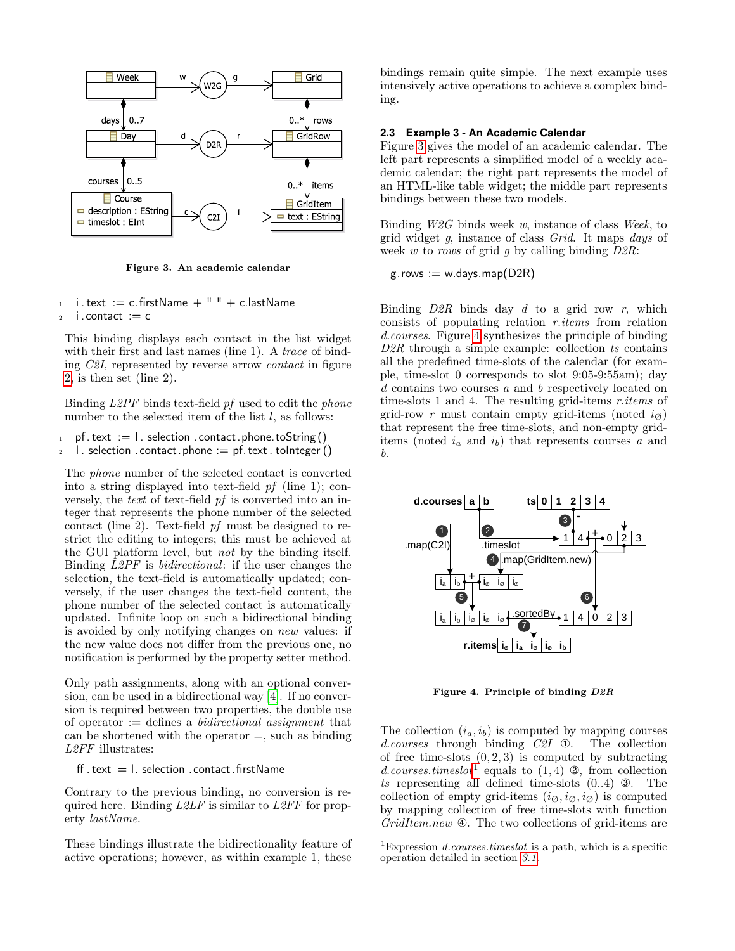

<span id="page-2-0"></span>Figure 3. An academic calendar

- $1$  i . text := c. firstName +  $"$  + c. lastName
- $2$  i.contact := c

This binding displays each contact in the list widget with their first and last names (line 1). A *trace* of binding C2I, represented by reverse arrow contact in figure [2,](#page-1-2) is then set (line 2).

Binding L2PF binds text-field pf used to edit the phone number to the selected item of the list  $l$ , as follows:

1 pf. text  $:= 1$ . selection . contact. phone. to String () 2 l. selection .contact.phone := pf. text. toInteger ()

The phone number of the selected contact is converted into a string displayed into text-field pf (line 1); conversely, the text of text-field pf is converted into an integer that represents the phone number of the selected contact (line 2). Text-field pf must be designed to restrict the editing to integers; this must be achieved at the GUI platform level, but not by the binding itself. Binding L2PF is bidirectional: if the user changes the selection, the text-field is automatically updated; conversely, if the user changes the text-field content, the phone number of the selected contact is automatically updated. Infinite loop on such a bidirectional binding is avoided by only notifying changes on new values: if the new value does not differ from the previous one, no notification is performed by the property setter method.

Only path assignments, along with an optional conversion, can be used in a bidirectional way [\[4\]](#page-9-6). If no conversion is required between two properties, the double use of operator  $:=$  defines a *bidirectional assignment* that can be shortened with the operator  $=$ , such as binding L2FF illustrates:

ff . text  $=$  l. selection . contact . firstName

Contrary to the previous binding, no conversion is required here. Binding  $L2LF$  is similar to  $L2FF$  for property lastName.

These bindings illustrate the bidirectionality feature of active operations; however, as within example 1, these bindings remain quite simple. The next example uses intensively active operations to achieve a complex binding.

### <span id="page-2-3"></span>**2.3 Example 3 - An Academic Calendar**

Figure [3](#page-2-0) gives the model of an academic calendar. The left part represents a simplified model of a weekly academic calendar; the right part represents the model of an HTML-like table widget; the middle part represents bindings between these two models.

Binding  $W2G$  binds week w, instance of class Week, to grid widget g, instance of class Grid. It maps days of week w to rows of grid g by calling binding  $D2R$ :

$$
g
$$
.rows := w.days-map(D2R)

Binding  $D2R$  binds day d to a grid row r, which consists of populating relation r.items from relation d.courses. Figure [4](#page-2-1) synthesizes the principle of binding  $D2R$  through a simple example: collection ts contains all the predefined time-slots of the calendar (for example, time-slot 0 corresponds to slot 9:05-9:55am); day  $d$  contains two courses  $\it a$  and  $\it b$  respectively located on time-slots 1 and 4. The resulting grid-items r.items of grid-row r must contain empty grid-items (noted  $i_{\emptyset}$ ) that represent the free time-slots, and non-empty griditems (noted  $i_a$  and  $i_b$ ) that represents courses a and b.



<span id="page-2-1"></span>Figure 4. Principle of binding D2R

The collection  $(i_a, i_b)$  is computed by mapping courses d.courses through binding C2I ①. The collection of free time-slots  $(0, 2, 3)$  is computed by subtracting d.courses.timeslot<sup>[1](#page-2-2)</sup> equals to  $(1, 4)$  2, from collection ts representing all defined time-slots  $(0.4)$  3. The collection of empty grid-items  $(i_{\emptyset}, i_{\emptyset}, i_{\emptyset})$  is computed by mapping collection of free time-slots with function GridItem.new  $\Phi$ . The two collections of grid-items are

<span id="page-2-2"></span><sup>&</sup>lt;sup>1</sup>Expression *d.courses.timeslot* is a path, which is a specific operation detailed in section [3.1.](#page-3-1)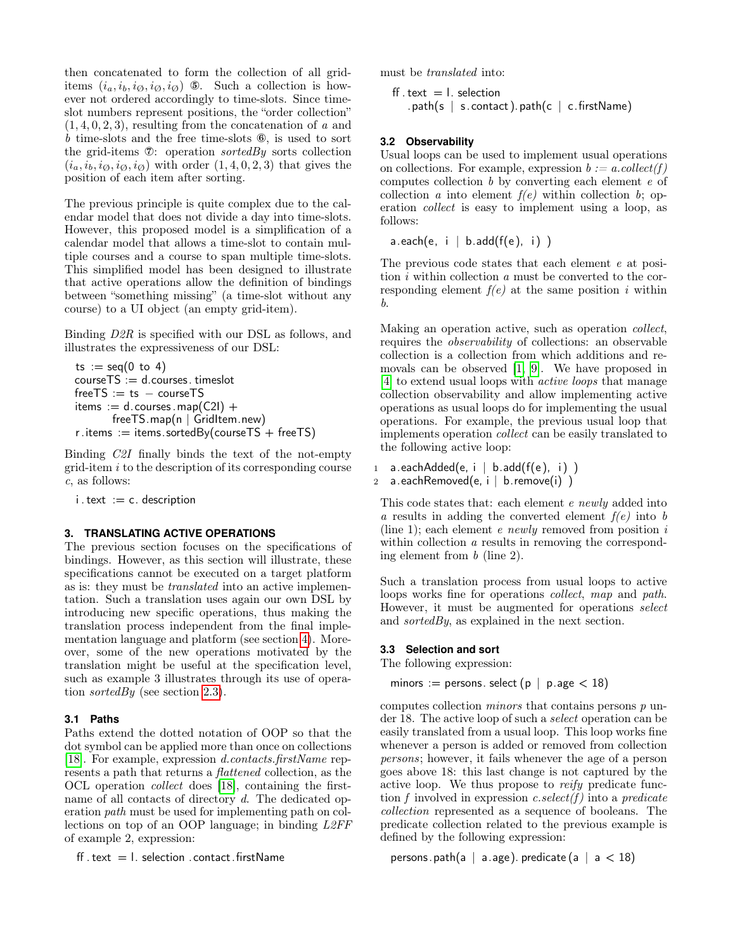then concatenated to form the collection of all griditems  $(i_a, i_b, i_{\emptyset}, i_{\emptyset}, i_{\emptyset})$  (5). Such a collection is however not ordered accordingly to time-slots. Since timeslot numbers represent positions, the "order collection"  $(1, 4, 0, 2, 3)$ , resulting from the concatenation of a and b time-slots and the free time-slots ⑥, is used to sort the grid-items  $\mathcal{D}$ : operation *sortedBy* sorts collection  $(i_a, i_b, i_{\emptyset}, i_{\emptyset}, i_{\emptyset})$  with order  $(1, 4, 0, 2, 3)$  that gives the position of each item after sorting.

The previous principle is quite complex due to the calendar model that does not divide a day into time-slots. However, this proposed model is a simplification of a calendar model that allows a time-slot to contain multiple courses and a course to span multiple time-slots. This simplified model has been designed to illustrate that active operations allow the definition of bindings between "something missing" (a time-slot without any course) to a UI object (an empty grid-item).

Binding D2R is specified with our DSL as follows, and illustrates the expressiveness of our DSL:

```
ts := seq(0 \text{ to } 4)courseTS := d.courses. timeslotfreeTS := ts - courseTSitems := d.courses . map(C2I) +
       freeTS.map(n | GridItem.new)
r.items := items.sortedBy(courseTS + freeTS)
```
Binding C2I finally binds the text of the not-empty  $grid$ -item  $i$  to the description of its corresponding course c, as follows:

 $i. \text{text} := c.$  description

### <span id="page-3-0"></span>**3. TRANSLATING ACTIVE OPERATIONS**

The previous section focuses on the specifications of bindings. However, as this section will illustrate, these specifications cannot be executed on a target platform as is: they must be translated into an active implementation. Such a translation uses again our own DSL by introducing new specific operations, thus making the translation process independent from the final implementation language and platform (see section [4\)](#page-4-0). Moreover, some of the new operations motivated by the translation might be useful at the specification level, such as example 3 illustrates through its use of opera-tion sortedBy (see section [2.3\)](#page-2-3).

### <span id="page-3-1"></span>**3.1 Paths**

Paths extend the dotted notation of OOP so that the dot symbol can be applied more than once on collections [\[18\]](#page-9-3). For example, expression *d.contacts.firstName* represents a path that returns a flattened collection, as the OCL operation collect does [\[18\]](#page-9-3), containing the firstname of all contacts of directory d. The dedicated operation path must be used for implementing path on collections on top of an OOP language; in binding L2FF of example 2, expression:

ff. text  $=$  l. selection . contact. firstName

must be translated into:

```
\text{ff} . text = l. selection
   .path(s | s.contact).path(c | c.firstName)
```
### **3.2 Observability**

Usual loops can be used to implement usual operations on collections. For example, expression  $b := a$ .collect(f) computes collection b by converting each element e of collection a into element  $f(e)$  within collection b; operation collect is easy to implement using a loop, as follows:

 $a.each(e, i | b.add(f(e), i))$ 

The previous code states that each element e at position  $i$  within collection  $a$  must be converted to the corresponding element  $f(e)$  at the same position i within b.

Making an operation active, such as operation collect, requires the observability of collections: an observable collection is a collection from which additions and removals can be observed [\[1,](#page-9-8) [9\]](#page-9-9). We have proposed in [\[4\]](#page-9-6) to extend usual loops with active loops that manage collection observability and allow implementing active operations as usual loops do for implementing the usual operations. For example, the previous usual loop that implements operation collect can be easily translated to the following active loop:

```
1 a.eachAdded(e, i \mid b.add(f(e), i))2 a.eachRemoved(e, i \mid b.remove(i))
```
This code states that: each element e newly added into a results in adding the converted element  $f(e)$  into b (line 1); each element  $e \ newly$  removed from position  $i$ within collection a results in removing the corresponding element from b (line 2).

Such a translation process from usual loops to active loops works fine for operations collect, map and path. However, it must be augmented for operations select and sortedBy, as explained in the next section.

#### **3.3 Selection and sort**

The following expression:

minors := persons. select (p | p.age  $<$  18)

computes collection minors that contains persons p under 18. The active loop of such a select operation can be easily translated from a usual loop. This loop works fine whenever a person is added or removed from collection persons; however, it fails whenever the age of a person goes above 18: this last change is not captured by the active loop. We thus propose to reify predicate function f involved in expression c.select(f) into a predicate collection represented as a sequence of booleans. The predicate collection related to the previous example is defined by the following expression:

```
persons.path(a | a.age).predicate (a | a < 18)
```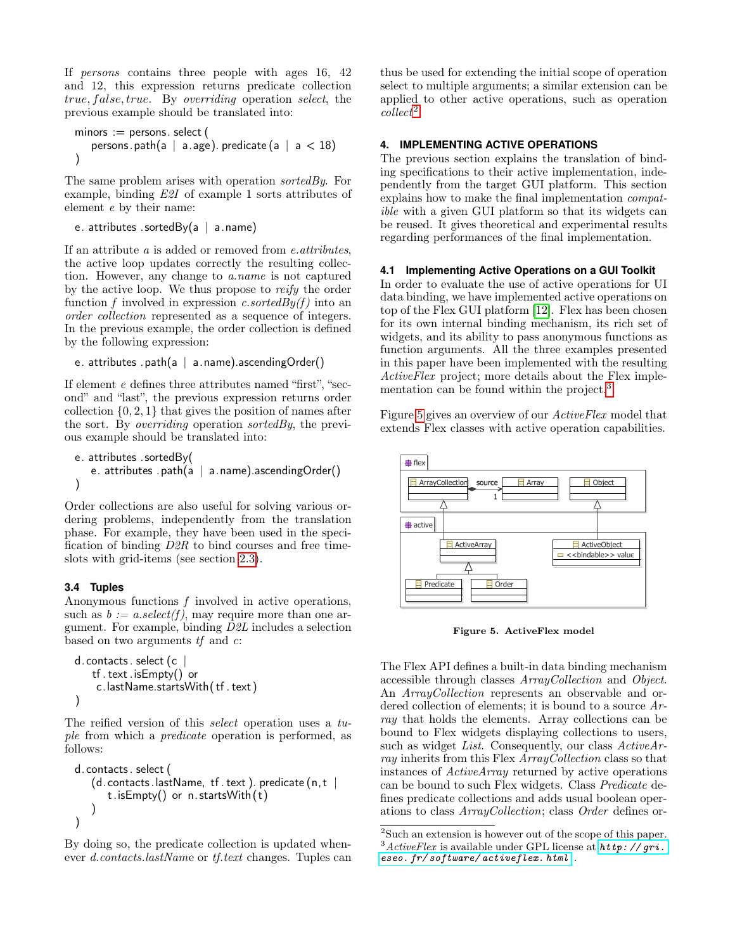If persons contains three people with ages 16, 42 and 12, this expression returns predicate collection true, false, true. By overriding operation select, the previous example should be translated into:

```
minors := persons. select (persons.path(a | a.age).predicate (a | a < 18)
)
```
The same problem arises with operation *sortedBy*. For example, binding E2I of example 1 sorts attributes of element e by their name:

```
e. attributes .sortedBy(a \mid a.name)
```
If an attribute a is added or removed from e.attributes, the active loop updates correctly the resulting collection. However, any change to a.name is not captured by the active loop. We thus propose to reify the order function f involved in expression c.sortedBy(f) into an order collection represented as a sequence of integers. In the previous example, the order collection is defined by the following expression:

```
e. attributes .path(a | a.name).ascendingOrder()
```
If element e defines three attributes named "first", "second" and "last", the previous expression returns order collection  $\{0, 2, 1\}$  that gives the position of names after the sort. By *overriding* operation *sortedBy*, the previous example should be translated into:

```
e. attributes .sortedBy(
   e. attributes .path(a \mid a.name).ascendingOrder())
```
Order collections are also useful for solving various ordering problems, independently from the translation phase. For example, they have been used in the specification of binding D2R to bind courses and free timeslots with grid-items (see section [2.3\)](#page-2-3).

# **3.4 Tuples**

Anonymous functions  $f$  involved in active operations, such as  $b := a.\text{select}(f)$ , may require more than one argument. For example, binding D2L includes a selection based on two arguments  $tf$  and  $c$ :

```
d.contacts.select (c
   tf . text .isEmpty() or
    c.lastName.startsWith( tf . text )
)
```
The reified version of this *select* operation uses a tuple from which a predicate operation is performed, as follows:

```
d.contacts . select (
   (d.\text{ contacts.} lastName, tf. text). predicate (n, t \midt.isEmpty() or n. startsWith (t)
    )
)
```
By doing so, the predicate collection is updated whenever d.contacts.lastName or tf.text changes. Tuples can thus be used for extending the initial scope of operation select to multiple arguments; a similar extension can be applied to other active operations, such as operation  $collect<sup>2</sup>$  $collect<sup>2</sup>$  $collect<sup>2</sup>$ .

## <span id="page-4-0"></span>**4. IMPLEMENTING ACTIVE OPERATIONS**

The previous section explains the translation of binding specifications to their active implementation, independently from the target GUI platform. This section explains how to make the final implementation compatible with a given GUI platform so that its widgets can be reused. It gives theoretical and experimental results regarding performances of the final implementation.

### <span id="page-4-4"></span>**4.1 Implementing Active Operations on a GUI Toolkit**

In order to evaluate the use of active operations for UI data binding, we have implemented active operations on top of the Flex GUI platform [\[12\]](#page-9-10). Flex has been chosen for its own internal binding mechanism, its rich set of widgets, and its ability to pass anonymous functions as function arguments. All the three examples presented in this paper have been implemented with the resulting ActiveFlex project; more details about the Flex imple-mentation can be found within the project.<sup>[3](#page-4-2)</sup>.

Figure [5](#page-4-3) gives an overview of our ActiveFlex model that extends Flex classes with active operation capabilities.



<span id="page-4-3"></span>Figure 5. ActiveFlex model

The Flex API defines a built-in data binding mechanism accessible through classes ArrayCollection and Object. An ArrayCollection represents an observable and ordered collection of elements; it is bound to a source Array that holds the elements. Array collections can be bound to Flex widgets displaying collections to users, such as widget List. Consequently, our class  $ActiveAr$ ray inherits from this Flex ArrayCollection class so that instances of ActiveArray returned by active operations can be bound to such Flex widgets. Class Predicate defines predicate collections and adds usual boolean operations to class ArrayCollection; class Order defines or-

<span id="page-4-2"></span><span id="page-4-1"></span><sup>2</sup>Such an extension is however out of the scope of this paper.  $3$ ActiveFlex is available under GPL license at  $http://gri.$ [eseo. fr/ software/ activeflex. html](http://gri.eseo.fr/software/activeflex.html) .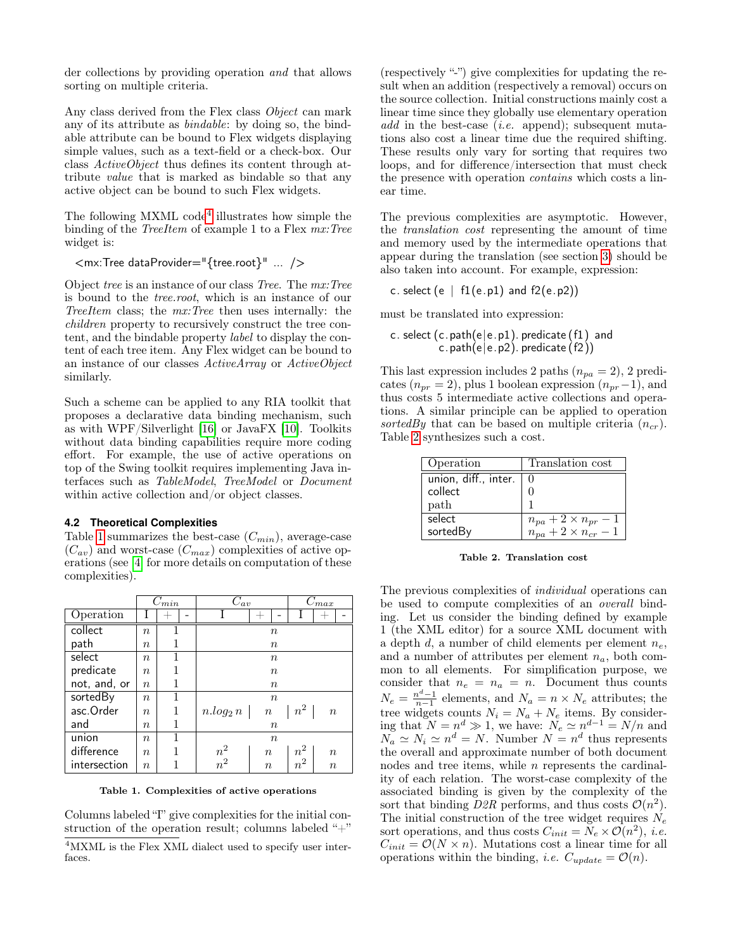der collections by providing operation and that allows sorting on multiple criteria.

Any class derived from the Flex class Object can mark any of its attribute as bindable: by doing so, the bindable attribute can be bound to Flex widgets displaying simple values, such as a text-field or a check-box. Our class ActiveObject thus defines its content through attribute value that is marked as bindable so that any active object can be bound to such Flex widgets.

The following MXML code<sup>[4](#page-5-0)</sup> illustrates how simple the binding of the *TreeItem* of example 1 to a Flex  $mx:Tree$ widget is:

<mx:Tree dataProvider="{tree.root}" ... />

Object tree is an instance of our class Tree. The mx:Tree is bound to the tree.root, which is an instance of our TreeItem class; the mx:Tree then uses internally: the children property to recursively construct the tree content, and the bindable property label to display the content of each tree item. Any Flex widget can be bound to an instance of our classes ActiveArray or ActiveObject similarly.

Such a scheme can be applied to any RIA toolkit that proposes a declarative data binding mechanism, such as with WPF/Silverlight [\[16\]](#page-9-11) or JavaFX [\[10\]](#page-9-12). Toolkits without data binding capabilities require more coding effort. For example, the use of active operations on top of the Swing toolkit requires implementing Java interfaces such as TableModel, TreeModel or Document within active collection and/or object classes.

### **4.2 Theoretical Complexities**

Table [1](#page-5-1) summarizes the best-case  $(C_{min})$ , average-case  $(C_{av})$  and worst-case  $(C_{max})$  complexities of active operations (see [\[4\]](#page-9-6) for more details on computation of these complexities).

|              |                  | $C_{min}$ |                    | $C_{av}$         |                   | $C_{max}$        |  |
|--------------|------------------|-----------|--------------------|------------------|-------------------|------------------|--|
| Operation    | T                |           |                    |                  |                   |                  |  |
| collect      | $\boldsymbol{n}$ |           |                    | $\boldsymbol{n}$ |                   |                  |  |
| path         | $\, n$           |           | $\boldsymbol{n}$   |                  |                   |                  |  |
| select       | $\, n$           |           |                    | $\boldsymbol{n}$ |                   |                  |  |
| predicate    | $\boldsymbol{n}$ |           | $\boldsymbol{n}$   |                  |                   |                  |  |
| not, and, or | $\, n$           | 1         | $\boldsymbol{n}$   |                  |                   |                  |  |
| sortedBy     | $\, n$           |           |                    | $\boldsymbol{n}$ |                   |                  |  |
| asc.Order    | $\boldsymbol{n}$ | 1         | $n.log_2 n \mid n$ |                  | $\mid n^2 \mid$   | $\boldsymbol{n}$ |  |
| and          | $\it{n}$         |           |                    | $\boldsymbol{n}$ |                   |                  |  |
| union        | $\, n$           |           |                    | $\boldsymbol{n}$ |                   |                  |  |
| difference   | $\it{n}$         |           | $\frac{n^2}{n^2}$  | $\boldsymbol{n}$ | $\frac{n^2}{n^2}$ | $\boldsymbol{n}$ |  |
| intersection | $\it{n}$         |           |                    | $\boldsymbol{n}$ |                   | $\boldsymbol{n}$ |  |

<span id="page-5-1"></span>Table 1. Complexities of active operations

Columns labeled "I" give complexities for the initial construction of the operation result; columns labeled " $+$ "

(respectively "-") give complexities for updating the result when an addition (respectively a removal) occurs on the source collection. Initial constructions mainly cost a linear time since they globally use elementary operation add in the best-case (*i.e.* append); subsequent mutations also cost a linear time due the required shifting. These results only vary for sorting that requires two loops, and for difference/intersection that must check the presence with operation contains which costs a linear time.

The previous complexities are asymptotic. However, the translation cost representing the amount of time and memory used by the intermediate operations that appear during the translation (see section [3\)](#page-3-0) should be also taken into account. For example, expression:

c. select  $(e | f1(e.p1)$  and  $f2(e.p2))$ 

must be translated into expression:

c. select  $(c.path(e|e.p1)$ . predicate  $(f1)$  and c.path(e|e.p2). predicate  $(f2)$ )

This last expression includes 2 paths  $(n_{pa} = 2)$ , 2 predicates ( $n_{pr} = 2$ ), plus 1 boolean expression  $(n_{pr}-1)$ , and thus costs 5 intermediate active collections and operations. A similar principle can be applied to operation sortedBy that can be based on multiple criteria  $(n_{cr})$ . Table [2](#page-5-2) synthesizes such a cost.

| Operation            | Translation cost               |
|----------------------|--------------------------------|
| union, diff., inter. |                                |
| collect              |                                |
| path                 |                                |
| select               | $n_{pa} + 2 \times n_{pr} - 1$ |
| sortedBy             | $n_{pa}+2\times n_{cr} - 1$    |

<span id="page-5-2"></span>Table 2. Translation cost

The previous complexities of individual operations can be used to compute complexities of an overall binding. Let us consider the binding defined by example 1 (the XML editor) for a source XML document with a depth d, a number of child elements per element  $n_e$ , and a number of attributes per element  $n_a$ , both common to all elements. For simplification purpose, we consider that  $n_e = n_a = n$ . Document thus counts  $N_e = \frac{n^d - 1}{n-1}$  elements, and  $N_a = n \times N_e$  attributes; the tree widgets counts  $N_i = N_a + N_e$  items. By considering that  $N = n^d \gg 1$ , we have:  $N_e \simeq n^{d-1} = N/n$  and  $N_a \simeq N_i \simeq n^d = N$ . Number  $N = n^d$  thus represents the overall and approximate number of both document nodes and tree items, while  $n$  represents the cardinality of each relation. The worst-case complexity of the associated binding is given by the complexity of the sort that binding  $D2R$  performs, and thus costs  $\mathcal{O}(n^2)$ . The initial construction of the tree widget requires  $N_e$ sort operations, and thus costs  $C_{init} = N_e \times \mathcal{O}(n^2)$ , *i.e.*  $C_{init} = \mathcal{O}(N \times n)$ . Mutations cost a linear time for all operations within the binding, *i.e.*  $C_{update} = \mathcal{O}(n)$ .

<span id="page-5-0"></span><sup>&</sup>lt;sup>4</sup>MXML is the Flex XML dialect used to specify user interfaces.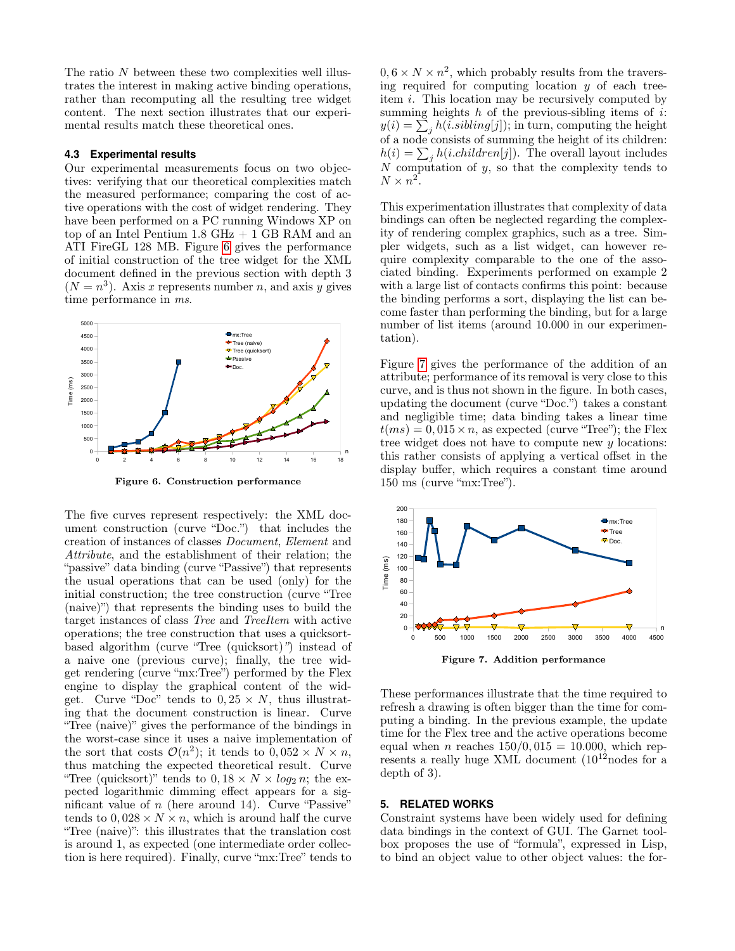The ratio N between these two complexities well illustrates the interest in making active binding operations, rather than recomputing all the resulting tree widget content. The next section illustrates that our experimental results match these theoretical ones.

#### **4.3 Experimental results**

Our experimental measurements focus on two objectives: verifying that our theoretical complexities match the measured performance; comparing the cost of active operations with the cost of widget rendering. They have been performed on a PC running Windows XP on top of an Intel Pentium  $1.8 \text{ GHz} + 1 \text{ GB RAM}$  and an ATI FireGL 128 MB. Figure [6](#page-6-1) gives the performance of initial construction of the tree widget for the XML document defined in the previous section with depth 3  $(N = n<sup>3</sup>)$ . Axis x represents number n, and axis y gives time performance in  $ms$ .



<span id="page-6-1"></span>Figure 6. Construction performance

"Tree (quicksort)" tends to  $0, 18 \times N \times log_2 n$ ; the ex-The five curves represent respectively: the XML document construction (curve "Doc.") that includes the creation of instances of classes Document, Element and Attribute, and the establishment of their relation; the "passive" data binding (curve "Passive") that represents the usual operations that can be used (only) for the initial construction; the tree construction (curve "Tree (naive)") that represents the binding uses to build the target instances of class Tree and TreeItem with active operations; the tree construction that uses a quicksortbased algorithm (curve "Tree (quicksort)") instead of a naive one (previous curve); finally, the tree widget rendering (curve "mx:Tree") performed by the Flex engine to display the graphical content of the widget. Curve "Doc" tends to  $0, 25 \times N$ , thus illustrating that the document construction is linear. Curve "Tree (naive)" gives the performance of the bindings in the worst-case since it uses a naive implementation of the sort that costs  $\mathcal{O}(n^2)$ ; it tends to  $0,052 \times N \times n$ , thus matching the expected theoretical result. Curve pected logarithmic dimming effect appears for a significant value of  $n$  (here around 14). Curve "Passive" tends to  $0.028 \times N \times n$ , which is around half the curve "Tree (naive)": this illustrates that the translation cost is around 1, as expected (one intermediate order collection is here required). Finally, curve "mx:Tree" tends to

 $0, 6 \times N \times n^2$ , which probably results from the traversing required for computing location  $y$  of each treeitem i. This location may be recursively computed by summing heights  $h$  of the previous-sibling items of  $i$ :  $y(i) = \sum_j h(i.sibling[j]);$  in turn, computing the height of a node consists of summing the height of its children:  $h(i) = \sum_j h(i.children[j])$ . The overall layout includes  $N$  computation of  $y$ , so that the complexity tends to  $N \times n^2$ .

This experimentation illustrates that complexity of data bindings can often be neglected regarding the complexity of rendering complex graphics, such as a tree. Simpler widgets, such as a list widget, can however require complexity comparable to the one of the associated binding. Experiments performed on example 2 with a large list of contacts confirms this point: because the binding performs a sort, displaying the list can become faster than performing the binding, but for a large number of list items (around 10.000 in our experimentation).

Figure [7](#page-6-2) gives the performance of the addition of an attribute; performance of its removal is very close to this curve, and is thus not shown in the figure. In both cases, updating the document (curve "Doc.") takes a constant and negligible time; data binding takes a linear time  $t(ms) = 0,015 \times n$ , as expected (curve "Tree"); the Flex tree widget does not have to compute new y locations: this rather consists of applying a vertical offset in the display buffer, which requires a constant time around 150 ms (curve "mx:Tree").



<span id="page-6-2"></span>Figure 7. Addition performance

These performances illustrate that the time required to refresh a drawing is often bigger than the time for computing a binding. In the previous example, the update time for the Flex tree and the active operations become equal when *n* reaches  $150/0,015 = 10.000$ , which represents a really huge XML document  $(10^{12} \text{nodes for a})$ depth of 3).

#### <span id="page-6-0"></span>**5. RELATED WORKS**

Constraint systems have been widely used for defining data bindings in the context of GUI. The Garnet toolbox proposes the use of "formula", expressed in Lisp, to bind an object value to other object values: the for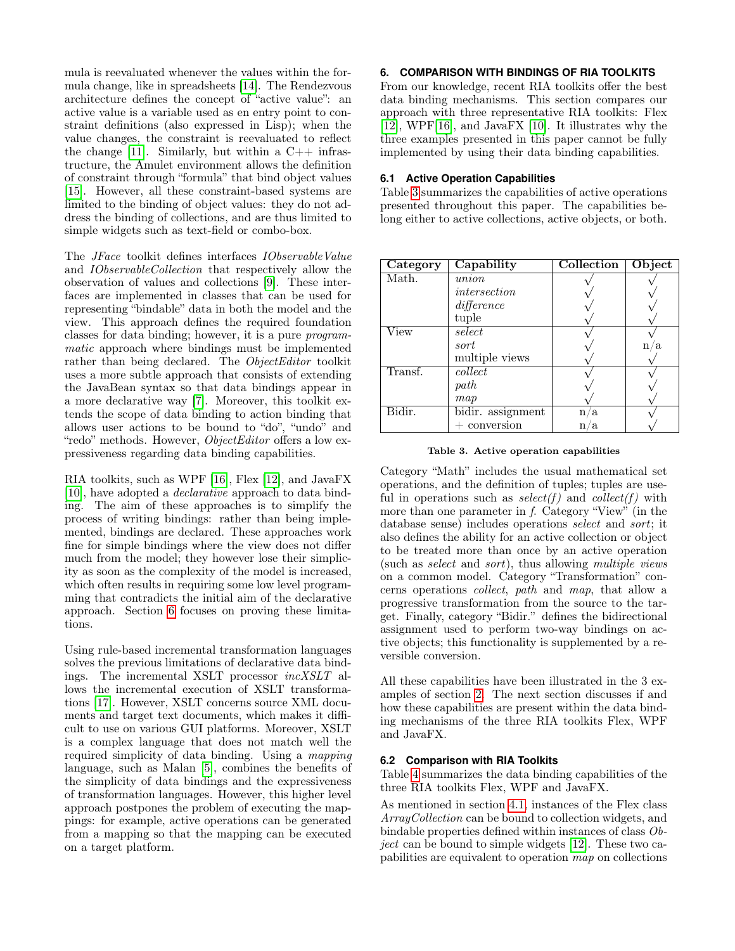mula is reevaluated whenever the values within the formula change, like in spreadsheets [\[14\]](#page-9-13). The Rendezvous architecture defines the concept of "active value": an active value is a variable used as en entry point to constraint definitions (also expressed in Lisp); when the value changes, the constraint is reevaluated to reflect the change [\[11\]](#page-9-14). Similarly, but within a  $C++$  infrastructure, the Amulet environment allows the definition of constraint through "formula" that bind object values [\[15\]](#page-9-15). However, all these constraint-based systems are limited to the binding of object values: they do not address the binding of collections, and are thus limited to simple widgets such as text-field or combo-box.

The JFace toolkit defines interfaces IObservableValue and IObservableCollection that respectively allow the observation of values and collections [\[9\]](#page-9-9). These interfaces are implemented in classes that can be used for representing "bindable" data in both the model and the view. This approach defines the required foundation classes for data binding; however, it is a pure programmatic approach where bindings must be implemented rather than being declared. The ObjectEditor toolkit uses a more subtle approach that consists of extending the JavaBean syntax so that data bindings appear in a more declarative way [\[7\]](#page-9-16). Moreover, this toolkit extends the scope of data binding to action binding that allows user actions to be bound to "do", "undo" and "redo" methods. However, *ObjectEditor* offers a low expressiveness regarding data binding capabilities.

RIA toolkits, such as WPF [\[16\]](#page-9-11), Flex [\[12\]](#page-9-10), and JavaFX [\[10\]](#page-9-12), have adopted a declarative approach to data binding. The aim of these approaches is to simplify the process of writing bindings: rather than being implemented, bindings are declared. These approaches work fine for simple bindings where the view does not differ much from the model; they however lose their simplicity as soon as the complexity of the model is increased, which often results in requiring some low level programming that contradicts the initial aim of the declarative approach. Section [6](#page-7-0) focuses on proving these limitations.

Using rule-based incremental transformation languages solves the previous limitations of declarative data bindings. The incremental XSLT processor incXSLT allows the incremental execution of XSLT transformations [\[17\]](#page-9-17). However, XSLT concerns source XML documents and target text documents, which makes it difficult to use on various GUI platforms. Moreover, XSLT is a complex language that does not match well the required simplicity of data binding. Using a mapping language, such as Malan [\[5\]](#page-9-18), combines the benefits of the simplicity of data bindings and the expressiveness of transformation languages. However, this higher level approach postpones the problem of executing the mappings: for example, active operations can be generated from a mapping so that the mapping can be executed on a target platform.

### <span id="page-7-0"></span>**6. COMPARISON WITH BINDINGS OF RIA TOOLKITS**

From our knowledge, recent RIA toolkits offer the best data binding mechanisms. This section compares our approach with three representative RIA toolkits: Flex [\[12\]](#page-9-10), WPF[\[16\]](#page-9-11), and JavaFX [\[10\]](#page-9-12). It illustrates why the three examples presented in this paper cannot be fully implemented by using their data binding capabilities.

### **6.1 Active Operation Capabilities**

Table [3](#page-7-1) summarizes the capabilities of active operations presented throughout this paper. The capabilities belong either to active collections, active objects, or both.

| Category | Capability        | Collection | Object           |
|----------|-------------------|------------|------------------|
| Math.    | union             |            |                  |
|          | intersection      |            |                  |
|          | difference        |            |                  |
|          | tuple             |            |                  |
| View     | select            |            |                  |
|          | sort              |            | a<br>$\mathbf n$ |
|          | multiple views    |            |                  |
| Transf.  | collect           |            |                  |
|          | path              |            |                  |
|          | map               |            |                  |
| Bidir.   | bidir. assignment | n.<br>a    |                  |
|          | conversion        | a<br>n     |                  |

<span id="page-7-1"></span>

Category "Math" includes the usual mathematical set operations, and the definition of tuples; tuples are useful in operations such as  $select(f)$  and  $collect(f)$  with more than one parameter in f. Category "View" (in the database sense) includes operations select and sort; it also defines the ability for an active collection or object to be treated more than once by an active operation (such as select and sort), thus allowing multiple views on a common model. Category "Transformation" concerns operations collect, path and map, that allow a progressive transformation from the source to the target. Finally, category "Bidir." defines the bidirectional assignment used to perform two-way bindings on active objects; this functionality is supplemented by a reversible conversion.

All these capabilities have been illustrated in the 3 examples of section [2.](#page-1-0) The next section discusses if and how these capabilities are present within the data binding mechanisms of the three RIA toolkits Flex, WPF and JavaFX.

### **6.2 Comparison with RIA Toolkits**

Table [4](#page-8-0) summarizes the data binding capabilities of the three RIA toolkits Flex, WPF and JavaFX.

As mentioned in section [4.1,](#page-4-4) instances of the Flex class ArrayCollection can be bound to collection widgets, and bindable properties defined within instances of class Object can be bound to simple widgets [\[12\]](#page-9-10). These two capabilities are equivalent to operation map on collections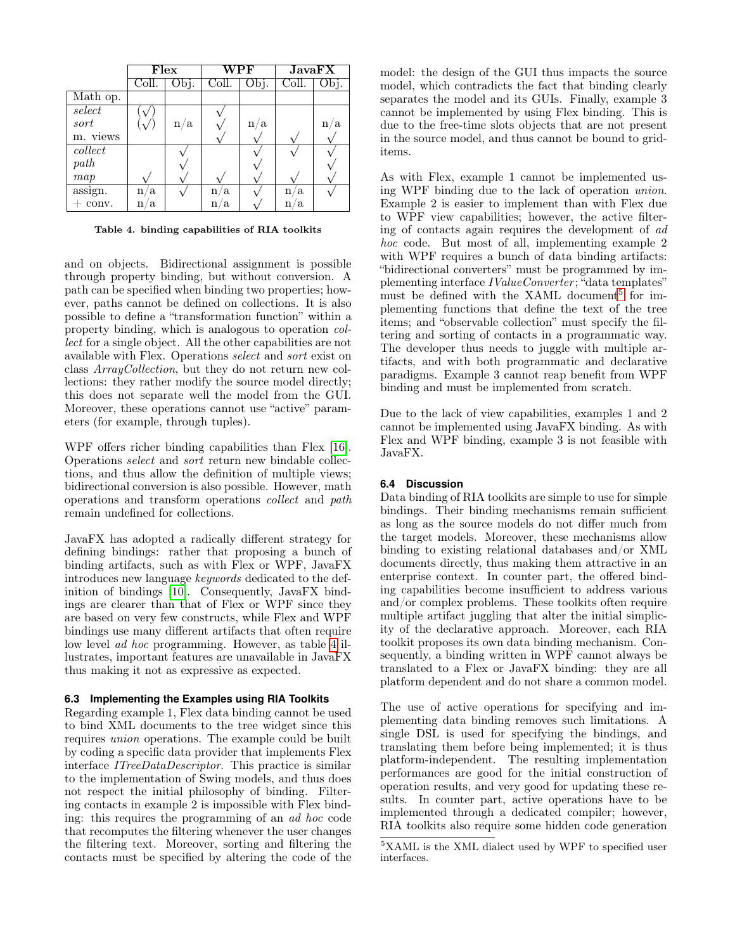|          | Flex   |      | $\operatorname{\mathrm{WPF}}$ |      | JavaFX             |      |
|----------|--------|------|-------------------------------|------|--------------------|------|
|          | Coll.  | Obj. | Coll.                         | Obj. | Coll.              | Obj. |
| Math op. |        |      |                               |      |                    |      |
| select   |        |      |                               |      |                    |      |
| sort     |        | n/a  |                               | n/a  |                    | n    |
| m. views |        |      |                               |      |                    |      |
| collect  |        |      |                               |      |                    |      |
| path     |        |      |                               |      |                    |      |
| map      |        |      |                               |      |                    |      |
| assign.  | n/a    |      | a<br>n                        |      | $n_{\iota}$<br>Ιa. |      |
| conv.    | a<br>n |      | a.<br>n                       |      | n<br>a.            |      |

<span id="page-8-0"></span>Table 4. binding capabilities of RIA toolkits

and on objects. Bidirectional assignment is possible through property binding, but without conversion. A path can be specified when binding two properties; however, paths cannot be defined on collections. It is also possible to define a "transformation function" within a property binding, which is analogous to operation collect for a single object. All the other capabilities are not available with Flex. Operations select and sort exist on class ArrayCollection, but they do not return new collections: they rather modify the source model directly; this does not separate well the model from the GUI. Moreover, these operations cannot use "active" parameters (for example, through tuples).

WPF offers richer binding capabilities than Flex [\[16\]](#page-9-11). Operations select and sort return new bindable collections, and thus allow the definition of multiple views; bidirectional conversion is also possible. However, math operations and transform operations collect and path remain undefined for collections.

JavaFX has adopted a radically different strategy for defining bindings: rather that proposing a bunch of binding artifacts, such as with Flex or WPF, JavaFX introduces new language keywords dedicated to the definition of bindings [\[10\]](#page-9-12). Consequently, JavaFX bindings are clearer than that of Flex or WPF since they are based on very few constructs, while Flex and WPF bindings use many different artifacts that often require low level ad hoc programming. However, as table [4](#page-8-0) illustrates, important features are unavailable in JavaFX thus making it not as expressive as expected.

### **6.3 Implementing the Examples using RIA Toolkits**

Regarding example 1, Flex data binding cannot be used to bind XML documents to the tree widget since this requires union operations. The example could be built by coding a specific data provider that implements Flex interface ITreeDataDescriptor. This practice is similar to the implementation of Swing models, and thus does not respect the initial philosophy of binding. Filtering contacts in example 2 is impossible with Flex binding: this requires the programming of an ad hoc code that recomputes the filtering whenever the user changes the filtering text. Moreover, sorting and filtering the contacts must be specified by altering the code of the model: the design of the GUI thus impacts the source model, which contradicts the fact that binding clearly separates the model and its GUIs. Finally, example 3 cannot be implemented by using Flex binding. This is due to the free-time slots objects that are not present in the source model, and thus cannot be bound to griditems.

As with Flex, example 1 cannot be implemented using WPF binding due to the lack of operation union. Example 2 is easier to implement than with Flex due to WPF view capabilities; however, the active filtering of contacts again requires the development of ad hoc code. But most of all, implementing example 2 with WPF requires a bunch of data binding artifacts: "bidirectional converters" must be programmed by implementing interface *IValueConverter*; "data templates" must be defined with the XAML document<sup>[5](#page-8-1)</sup> for implementing functions that define the text of the tree items; and "observable collection" must specify the filtering and sorting of contacts in a programmatic way. The developer thus needs to juggle with multiple artifacts, and with both programmatic and declarative paradigms. Example 3 cannot reap benefit from WPF binding and must be implemented from scratch.

Due to the lack of view capabilities, examples 1 and 2 cannot be implemented using JavaFX binding. As with Flex and WPF binding, example 3 is not feasible with JavaFX.

### **6.4 Discussion**

Data binding of RIA toolkits are simple to use for simple bindings. Their binding mechanisms remain sufficient as long as the source models do not differ much from the target models. Moreover, these mechanisms allow binding to existing relational databases and/or XML documents directly, thus making them attractive in an enterprise context. In counter part, the offered binding capabilities become insufficient to address various and/or complex problems. These toolkits often require multiple artifact juggling that alter the initial simplicity of the declarative approach. Moreover, each RIA toolkit proposes its own data binding mechanism. Consequently, a binding written in WPF cannot always be translated to a Flex or JavaFX binding: they are all platform dependent and do not share a common model.

The use of active operations for specifying and implementing data binding removes such limitations. A single DSL is used for specifying the bindings, and translating them before being implemented; it is thus platform-independent. The resulting implementation performances are good for the initial construction of operation results, and very good for updating these results. In counter part, active operations have to be implemented through a dedicated compiler; however, RIA toolkits also require some hidden code generation

<span id="page-8-1"></span><sup>5</sup>XAML is the XML dialect used by WPF to specified user interfaces.